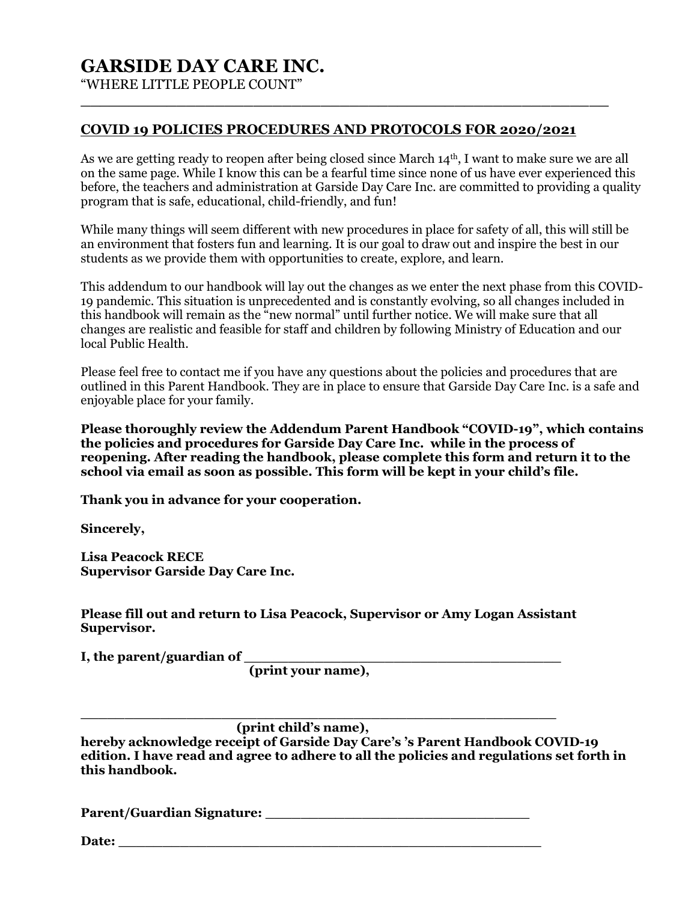# **GARSIDE DAY CARE INC.**

"WHERE LITTLE PEOPLE COUNT"

## **COVID 19 POLICIES PROCEDURES AND PROTOCOLS FOR 2020/2021**

**\_\_\_\_\_\_\_\_\_\_\_\_\_\_\_\_\_\_\_\_\_\_\_\_\_\_\_\_\_\_\_\_\_\_\_\_\_\_\_\_\_\_\_\_\_\_\_\_\_\_\_\_\_\_\_**

As we are getting ready to reopen after being closed since March 14<sup>th</sup>, I want to make sure we are all on the same page. While I know this can be a fearful time since none of us have ever experienced this before, the teachers and administration at Garside Day Care Inc. are committed to providing a quality program that is safe, educational, child-friendly, and fun!

While many things will seem different with new procedures in place for safety of all, this will still be an environment that fosters fun and learning. It is our goal to draw out and inspire the best in our students as we provide them with opportunities to create, explore, and learn.

This addendum to our handbook will lay out the changes as we enter the next phase from this COVID-19 pandemic. This situation is unprecedented and is constantly evolving, so all changes included in this handbook will remain as the "new normal" until further notice. We will make sure that all changes are realistic and feasible for staff and children by following Ministry of Education and our local Public Health.

Please feel free to contact me if you have any questions about the policies and procedures that are outlined in this Parent Handbook. They are in place to ensure that Garside Day Care Inc. is a safe and enjoyable place for your family.

**Please thoroughly review the Addendum Parent Handbook "COVID-19", which contains the policies and procedures for Garside Day Care Inc. while in the process of reopening. After reading the handbook, please complete this form and return it to the school via email as soon as possible. This form will be kept in your child's file.** 

**Thank you in advance for your cooperation.**

**Sincerely,**

**Lisa Peacock RECE Supervisor Garside Day Care Inc.**

**Please fill out and return to Lisa Peacock, Supervisor or Amy Logan Assistant Supervisor.** 

**I, the parent/guardian of \_\_\_\_\_\_\_\_\_\_\_\_\_\_\_\_\_\_\_\_\_\_\_\_\_\_\_\_\_\_\_\_\_\_\_\_ (print your name),** 

**\_\_\_\_\_\_\_\_\_\_\_\_\_\_\_\_\_\_\_\_\_\_\_\_\_\_\_\_\_\_\_\_\_\_\_\_\_\_\_\_\_\_\_\_\_\_\_\_\_\_\_\_\_\_ (print child's name),** 

**hereby acknowledge receipt of Garside Day Care's 's Parent Handbook COVID-19 edition. I have read and agree to adhere to all the policies and regulations set forth in this handbook.**

**Parent/Guardian Signature: \_\_\_\_\_\_\_\_\_\_\_\_\_\_\_\_\_\_\_\_\_\_\_\_\_\_\_\_\_\_**

Date: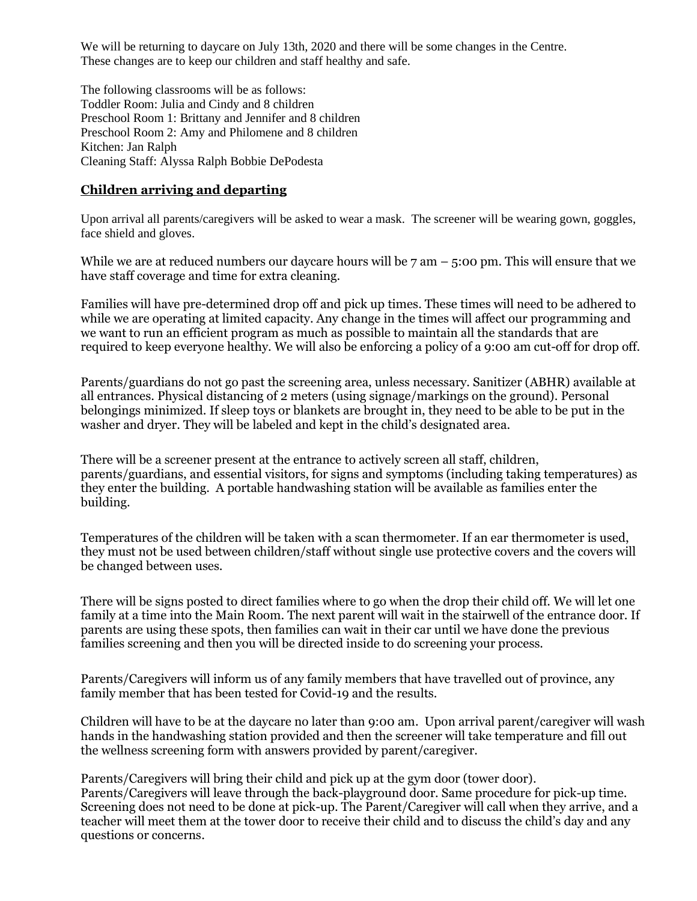We will be returning to daycare on July 13th, 2020 and there will be some changes in the Centre. These changes are to keep our children and staff healthy and safe.

The following classrooms will be as follows: Toddler Room: Julia and Cindy and 8 children Preschool Room 1: Brittany and Jennifer and 8 children Preschool Room 2: Amy and Philomene and 8 children Kitchen: Jan Ralph Cleaning Staff: Alyssa Ralph Bobbie DePodesta

# **Children arriving and departing**

Upon arrival all parents/caregivers will be asked to wear a mask. The screener will be wearing gown, goggles, face shield and gloves.

While we are at reduced numbers our daycare hours will be  $7 \text{ am } -5:00 \text{ pm}$ . This will ensure that we have staff coverage and time for extra cleaning.

Families will have pre-determined drop off and pick up times. These times will need to be adhered to while we are operating at limited capacity. Any change in the times will affect our programming and we want to run an efficient program as much as possible to maintain all the standards that are required to keep everyone healthy. We will also be enforcing a policy of a 9:00 am cut-off for drop off.

Parents/guardians do not go past the screening area, unless necessary. Sanitizer (ABHR) available at all entrances. Physical distancing of 2 meters (using signage/markings on the ground). Personal belongings minimized. If sleep toys or blankets are brought in, they need to be able to be put in the washer and dryer. They will be labeled and kept in the child's designated area.

There will be a screener present at the entrance to actively screen all staff, children, parents/guardians, and essential visitors, for signs and symptoms (including taking temperatures) as they enter the building. A portable handwashing station will be available as families enter the building.

Temperatures of the children will be taken with a scan thermometer. If an ear thermometer is used, they must not be used between children/staff without single use protective covers and the covers will be changed between uses.

There will be signs posted to direct families where to go when the drop their child off. We will let one family at a time into the Main Room. The next parent will wait in the stairwell of the entrance door. If parents are using these spots, then families can wait in their car until we have done the previous families screening and then you will be directed inside to do screening your process.

Parents/Caregivers will inform us of any family members that have travelled out of province, any family member that has been tested for Covid-19 and the results.

Children will have to be at the daycare no later than 9:00 am. Upon arrival parent/caregiver will wash hands in the handwashing station provided and then the screener will take temperature and fill out the wellness screening form with answers provided by parent/caregiver.

Parents/Caregivers will bring their child and pick up at the gym door (tower door). Parents/Caregivers will leave through the back-playground door. Same procedure for pick-up time. Screening does not need to be done at pick-up. The Parent/Caregiver will call when they arrive, and a teacher will meet them at the tower door to receive their child and to discuss the child's day and any questions or concerns.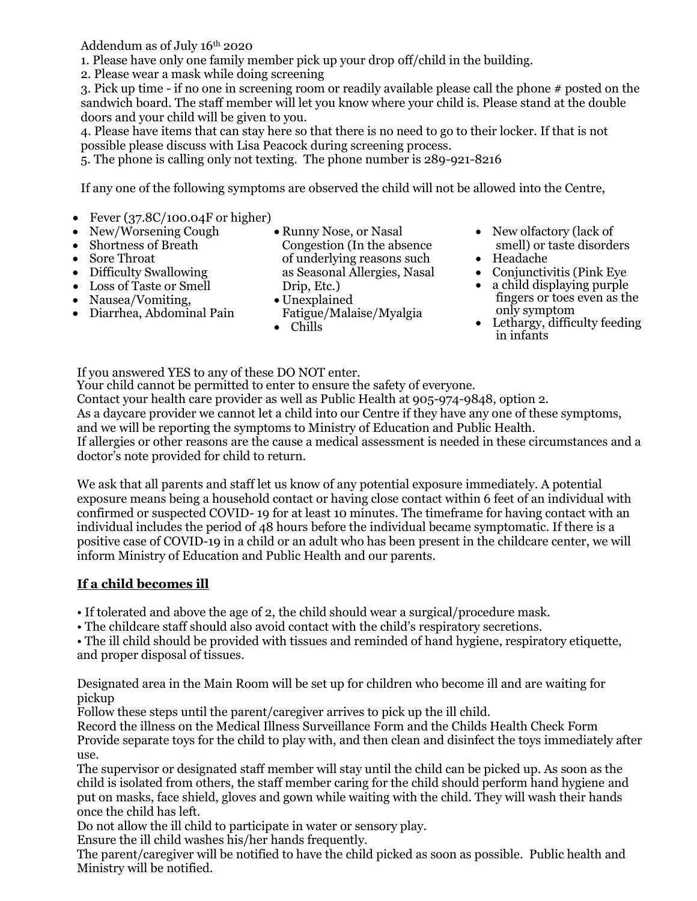Addendum as of July 16th 2020

1. Please have only one family member pick up your drop off/child in the building.

2. Please wear a mask while doing screening

3. Pick up time - if no one in screening room or readily available please call the phone # posted on the sandwich board. The staff member will let you know where your child is. Please stand at the double doors and your child will be given to you.

4. Please have items that can stay here so that there is no need to go to their locker. If that is not possible please discuss with Lisa Peacock during screening process.

5. The phone is calling only not texting. The phone number is 289-921-8216

If any one of the following symptoms are observed the child will not be allowed into the Centre,

- Fever  $(37.8C/100.04F)$  or higher
- New/Worsening Cough
- Shortness of Breath
- Sore Throat
- Difficulty Swallowing
- Loss of Taste or Smell
- Nausea/Vomiting,
- Diarrhea, Abdominal Pain
- Runny Nose, or Nasal Congestion (In the absence of underlying reasons such as Seasonal Allergies, Nasal Drip, Etc.)
- Unexplained Fatigue/Malaise/Myalgia
- Chills
- New olfactory (lack of smell) or taste disorders
- Headache
- Conjunctivitis (Pink Eye
- a child displaying purple fingers or toes even as the only symptom
- Lethargy, difficulty feeding in infants

If you answered YES to any of these DO NOT enter.

Your child cannot be permitted to enter to ensure the safety of everyone. Contact your health care provider as well as Public Health at 905-974-9848, option 2. As a daycare provider we cannot let a child into our Centre if they have any one of these symptoms, and we will be reporting the symptoms to Ministry of Education and Public Health. If allergies or other reasons are the cause a medical assessment is needed in these circumstances and a doctor's note provided for child to return.

We ask that all parents and staff let us know of any potential exposure immediately. A potential exposure means being a household contact or having close contact within 6 feet of an individual with confirmed or suspected COVID- 19 for at least 10 minutes. The timeframe for having contact with an individual includes the period of 48 hours before the individual became symptomatic. If there is a positive case of COVID-19 in a child or an adult who has been present in the childcare center, we will inform Ministry of Education and Public Health and our parents.

# **If a child becomes ill**

• If tolerated and above the age of 2, the child should wear a surgical/procedure mask.

• The childcare staff should also avoid contact with the child's respiratory secretions.

• The ill child should be provided with tissues and reminded of hand hygiene, respiratory etiquette, and proper disposal of tissues.

Designated area in the Main Room will be set up for children who become ill and are waiting for pickup

Follow these steps until the parent/caregiver arrives to pick up the ill child.

Record the illness on the Medical Illness Surveillance Form and the Childs Health Check Form Provide separate toys for the child to play with, and then clean and disinfect the toys immediately after use.

The supervisor or designated staff member will stay until the child can be picked up. As soon as the child is isolated from others, the staff member caring for the child should perform hand hygiene and put on masks, face shield, gloves and gown while waiting with the child. They will wash their hands once the child has left.

Do not allow the ill child to participate in water or sensory play.

Ensure the ill child washes his/her hands frequently.

The parent/caregiver will be notified to have the child picked as soon as possible. Public health and Ministry will be notified.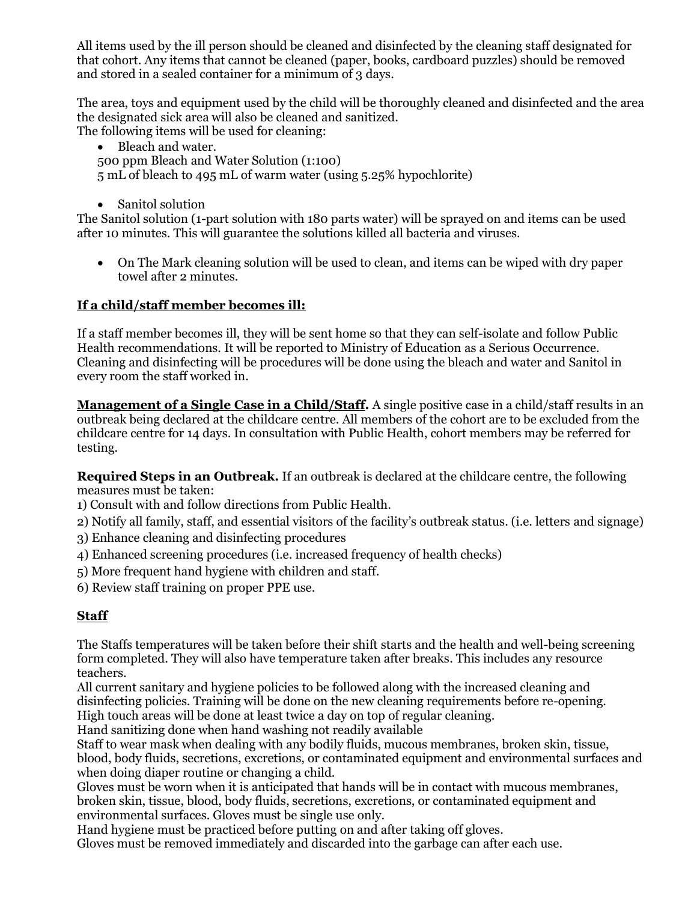All items used by the ill person should be cleaned and disinfected by the cleaning staff designated for that cohort. Any items that cannot be cleaned (paper, books, cardboard puzzles) should be removed and stored in a sealed container for a minimum of 3 days.

The area, toys and equipment used by the child will be thoroughly cleaned and disinfected and the area the designated sick area will also be cleaned and sanitized.

The following items will be used for cleaning:

• Bleach and water. 500 ppm Bleach and Water Solution (1:100)

5 mL of bleach to 495 mL of warm water (using 5.25% hypochlorite)

• Sanitol solution

The Sanitol solution (1-part solution with 180 parts water) will be sprayed on and items can be used after 10 minutes. This will guarantee the solutions killed all bacteria and viruses.

• On The Mark cleaning solution will be used to clean, and items can be wiped with dry paper towel after 2 minutes.

# **If a child/staff member becomes ill:**

If a staff member becomes ill, they will be sent home so that they can self-isolate and follow Public Health recommendations. It will be reported to Ministry of Education as a Serious Occurrence. Cleaning and disinfecting will be procedures will be done using the bleach and water and Sanitol in every room the staff worked in.

**Management of a Single Case in a Child/Staff.** A single positive case in a child/staff results in an outbreak being declared at the childcare centre. All members of the cohort are to be excluded from the childcare centre for 14 days. In consultation with Public Health, cohort members may be referred for testing.

**Required Steps in an Outbreak.** If an outbreak is declared at the childcare centre, the following measures must be taken:

1) Consult with and follow directions from Public Health.

2) Notify all family, staff, and essential visitors of the facility's outbreak status. (i.e. letters and signage)

3) Enhance cleaning and disinfecting procedures

- 4) Enhanced screening procedures (i.e. increased frequency of health checks)
- 5) More frequent hand hygiene with children and staff.
- 6) Review staff training on proper PPE use.

# **Staff**

The Staffs temperatures will be taken before their shift starts and the health and well-being screening form completed. They will also have temperature taken after breaks. This includes any resource teachers.

All current sanitary and hygiene policies to be followed along with the increased cleaning and disinfecting policies. Training will be done on the new cleaning requirements before re-opening. High touch areas will be done at least twice a day on top of regular cleaning.

Hand sanitizing done when hand washing not readily available

Staff to wear mask when dealing with any bodily fluids, mucous membranes, broken skin, tissue, blood, body fluids, secretions, excretions, or contaminated equipment and environmental surfaces and when doing diaper routine or changing a child.

Gloves must be worn when it is anticipated that hands will be in contact with mucous membranes, broken skin, tissue, blood, body fluids, secretions, excretions, or contaminated equipment and environmental surfaces. Gloves must be single use only.

Hand hygiene must be practiced before putting on and after taking off gloves.

Gloves must be removed immediately and discarded into the garbage can after each use.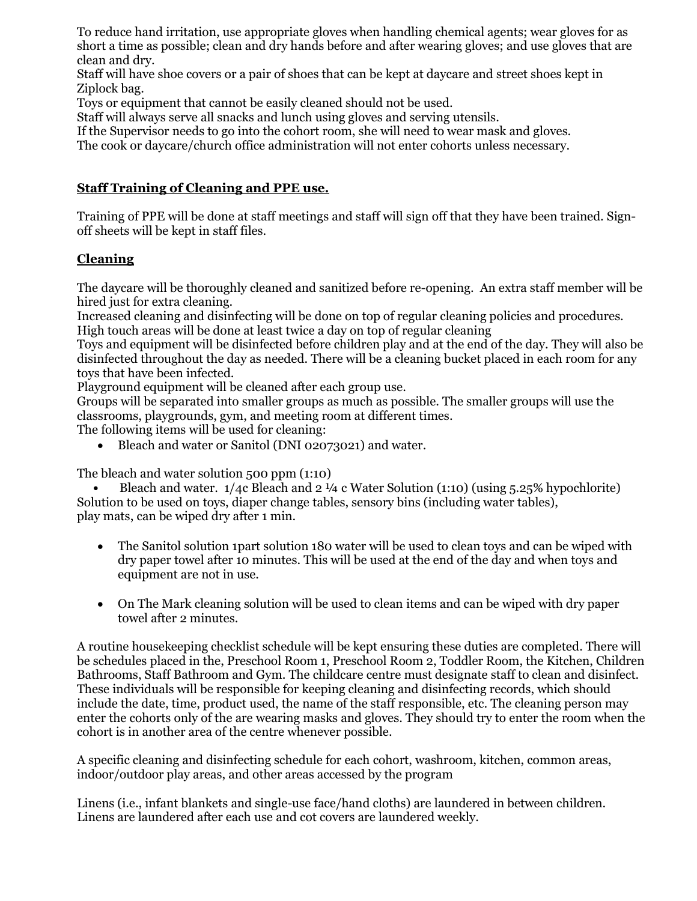To reduce hand irritation, use appropriate gloves when handling chemical agents; wear gloves for as short a time as possible; clean and dry hands before and after wearing gloves; and use gloves that are clean and dry.

Staff will have shoe covers or a pair of shoes that can be kept at daycare and street shoes kept in Ziplock bag.

Toys or equipment that cannot be easily cleaned should not be used.

Staff will always serve all snacks and lunch using gloves and serving utensils.

If the Supervisor needs to go into the cohort room, she will need to wear mask and gloves.

The cook or daycare/church office administration will not enter cohorts unless necessary.

# **Staff Training of Cleaning and PPE use.**

Training of PPE will be done at staff meetings and staff will sign off that they have been trained. Signoff sheets will be kept in staff files.

## **Cleaning**

The daycare will be thoroughly cleaned and sanitized before re-opening. An extra staff member will be hired just for extra cleaning.

Increased cleaning and disinfecting will be done on top of regular cleaning policies and procedures. High touch areas will be done at least twice a day on top of regular cleaning

Toys and equipment will be disinfected before children play and at the end of the day. They will also be disinfected throughout the day as needed. There will be a cleaning bucket placed in each room for any toys that have been infected.

Playground equipment will be cleaned after each group use.

Groups will be separated into smaller groups as much as possible. The smaller groups will use the classrooms, playgrounds, gym, and meeting room at different times.

The following items will be used for cleaning:

• Bleach and water or Sanitol (DNI 02073021) and water.

The bleach and water solution 500 ppm (1:10)

**•** Bleach and water. 1/4c Bleach and 2 ¼ c Water Solution (1:10) (using 5.25% hypochlorite) Solution to be used on toys, diaper change tables, sensory bins (including water tables), play mats, can be wiped dry after 1 min.

- The Sanitol solution 1part solution 180 water will be used to clean toys and can be wiped with dry paper towel after 10 minutes. This will be used at the end of the day and when toys and equipment are not in use.
- On The Mark cleaning solution will be used to clean items and can be wiped with dry paper towel after 2 minutes.

A routine housekeeping checklist schedule will be kept ensuring these duties are completed. There will be schedules placed in the, Preschool Room 1, Preschool Room 2, Toddler Room, the Kitchen, Children Bathrooms, Staff Bathroom and Gym. The childcare centre must designate staff to clean and disinfect. These individuals will be responsible for keeping cleaning and disinfecting records, which should include the date, time, product used, the name of the staff responsible, etc. The cleaning person may enter the cohorts only of the are wearing masks and gloves. They should try to enter the room when the cohort is in another area of the centre whenever possible.

A specific cleaning and disinfecting schedule for each cohort, washroom, kitchen, common areas, indoor/outdoor play areas, and other areas accessed by the program

Linens (i.e., infant blankets and single-use face/hand cloths) are laundered in between children. Linens are laundered after each use and cot covers are laundered weekly.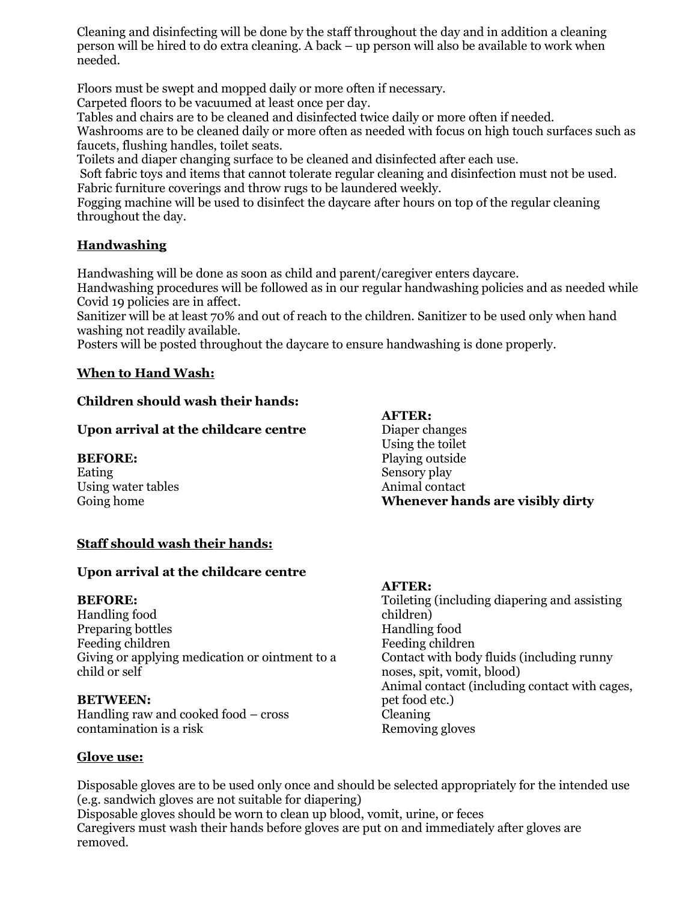Cleaning and disinfecting will be done by the staff throughout the day and in addition a cleaning person will be hired to do extra cleaning. A back – up person will also be available to work when needed.

Floors must be swept and mopped daily or more often if necessary.

Carpeted floors to be vacuumed at least once per day.

Tables and chairs are to be cleaned and disinfected twice daily or more often if needed.

Washrooms are to be cleaned daily or more often as needed with focus on high touch surfaces such as faucets, flushing handles, toilet seats.

Toilets and diaper changing surface to be cleaned and disinfected after each use.

Soft fabric toys and items that cannot tolerate regular cleaning and disinfection must not be used. Fabric furniture coverings and throw rugs to be laundered weekly.

Fogging machine will be used to disinfect the daycare after hours on top of the regular cleaning throughout the day.

# **Handwashing**

Handwashing will be done as soon as child and parent/caregiver enters daycare.

Handwashing procedures will be followed as in our regular handwashing policies and as needed while Covid 19 policies are in affect.

Sanitizer will be at least 70% and out of reach to the children. Sanitizer to be used only when hand washing not readily available.

Posters will be posted throughout the daycare to ensure handwashing is done properly.

#### **When to Hand Wash:**

#### **Children should wash their hands:**

#### **Upon arrival at the childcare centre**

#### **BEFORE:**

Eating Using water tables Going home

# **AFTER:**

Diaper changes Using the toilet Playing outside Sensory play Animal contact **Whenever hands are visibly dirty**

#### **Staff should wash their hands:**

#### **Upon arrival at the childcare centre**

#### **BEFORE:**

Handling food Preparing bottles Feeding children Giving or applying medication or ointment to a child or self

#### **BETWEEN:**

Handling raw and cooked food – cross contamination is a risk

# **AFTER:**

Toileting (including diapering and assisting children) Handling food Feeding children Contact with body fluids (including runny noses, spit, vomit, blood) Animal contact (including contact with cages, pet food etc.) Cleaning Removing gloves

#### **Glove use:**

Disposable gloves are to be used only once and should be selected appropriately for the intended use (e.g. sandwich gloves are not suitable for diapering)

Disposable gloves should be worn to clean up blood, vomit, urine, or feces Caregivers must wash their hands before gloves are put on and immediately after gloves are removed.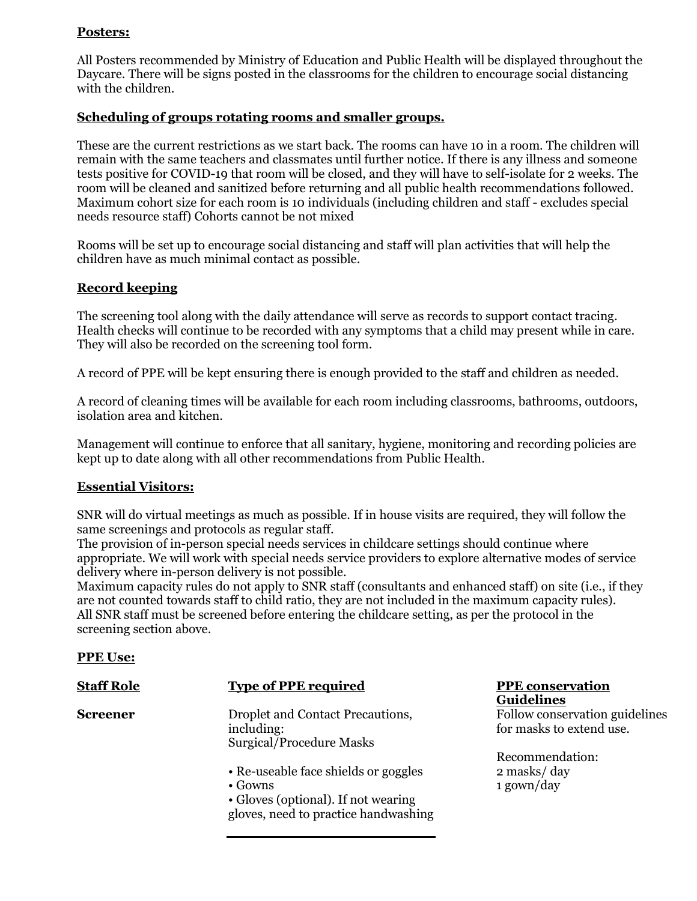## **Posters:**

All Posters recommended by Ministry of Education and Public Health will be displayed throughout the Daycare. There will be signs posted in the classrooms for the children to encourage social distancing with the children.

## **Scheduling of groups rotating rooms and smaller groups.**

These are the current restrictions as we start back. The rooms can have 10 in a room. The children will remain with the same teachers and classmates until further notice. If there is any illness and someone tests positive for COVID-19 that room will be closed, and they will have to self-isolate for 2 weeks. The room will be cleaned and sanitized before returning and all public health recommendations followed. Maximum cohort size for each room is 10 individuals (including children and staff - excludes special needs resource staff) Cohorts cannot be not mixed

Rooms will be set up to encourage social distancing and staff will plan activities that will help the children have as much minimal contact as possible.

## **Record keeping**

The screening tool along with the daily attendance will serve as records to support contact tracing. Health checks will continue to be recorded with any symptoms that a child may present while in care. They will also be recorded on the screening tool form.

A record of PPE will be kept ensuring there is enough provided to the staff and children as needed.

A record of cleaning times will be available for each room including classrooms, bathrooms, outdoors, isolation area and kitchen.

Management will continue to enforce that all sanitary, hygiene, monitoring and recording policies are kept up to date along with all other recommendations from Public Health.

#### **Essential Visitors:**

SNR will do virtual meetings as much as possible. If in house visits are required, they will follow the same screenings and protocols as regular staff.

The provision of in-person special needs services in childcare settings should continue where appropriate. We will work with special needs service providers to explore alternative modes of service delivery where in-person delivery is not possible.

Maximum capacity rules do not apply to SNR staff (consultants and enhanced staff) on site (i.e., if they are not counted towards staff to child ratio, they are not included in the maximum capacity rules). All SNR staff must be screened before entering the childcare setting, as per the protocol in the screening section above.

#### **PPE Use:**

| <b>Staff Role</b> | <b>Type of PPE required</b>                                                                                                            | <b>PPE</b> conservation<br><b>Guidelines</b>   |
|-------------------|----------------------------------------------------------------------------------------------------------------------------------------|------------------------------------------------|
| <b>Screener</b>   | Droplet and Contact Precautions,<br>including:<br>Surgical/Procedure Masks                                                             | Follow conservation<br>for masks to extend u   |
|                   | • Re-useable face shields or goggles<br>$\bullet$ Gowns<br>• Gloves (optional). If not wearing<br>gloves, need to practice handwashing | Recommendation:<br>2 masks/day<br>$1$ gown/day |

**Guidelines** 

Follow conservation guidelines for masks to extend use.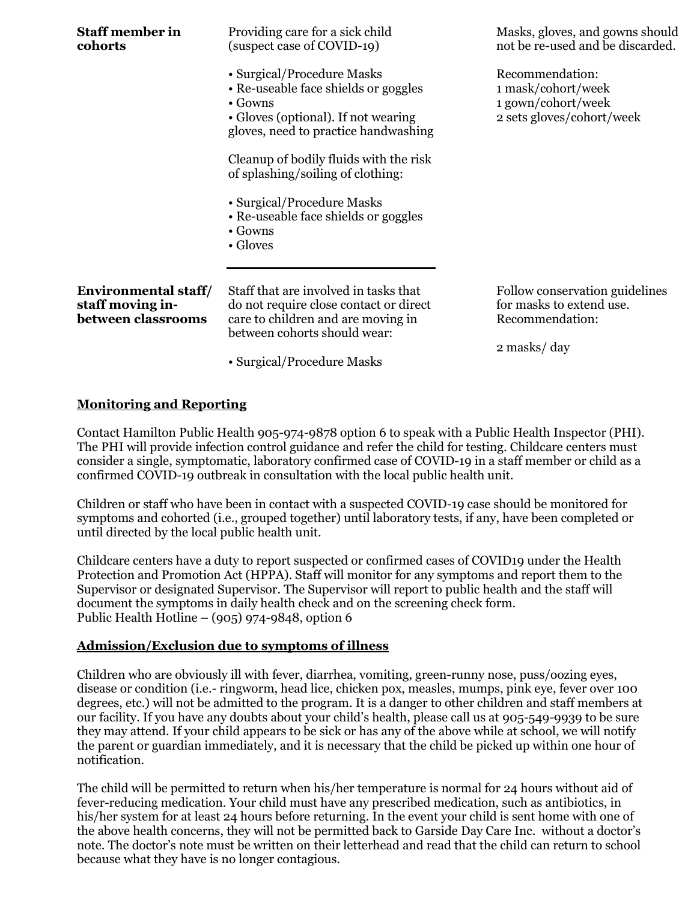| <b>Staff member in</b><br>cohorts                                     | Providing care for a sick child<br>(suspect case of COVID-19)                                                                                                                       | Masks, gloves, and gowns should<br>not be re-used and be discarded.                          |
|-----------------------------------------------------------------------|-------------------------------------------------------------------------------------------------------------------------------------------------------------------------------------|----------------------------------------------------------------------------------------------|
|                                                                       | • Surgical/Procedure Masks<br>• Re-useable face shields or goggles<br>$\bullet$ Gowns<br>• Gloves (optional). If not wearing<br>gloves, need to practice handwashing                | Recommendation:<br>1 mask/cohort/week<br>1 gown/cohort/week<br>2 sets gloves/cohort/week     |
|                                                                       | Cleanup of bodily fluids with the risk<br>of splashing/soiling of clothing:                                                                                                         |                                                                                              |
|                                                                       | • Surgical/Procedure Masks<br>• Re-useable face shields or goggles<br>$\bullet$ Gowns<br>• Gloves                                                                                   |                                                                                              |
| <b>Environmental staff/</b><br>staff moving in-<br>between classrooms | Staff that are involved in tasks that<br>do not require close contact or direct<br>care to children and are moving in<br>between cohorts should wear:<br>• Surgical/Procedure Masks | Follow conservation guidelines<br>for masks to extend use.<br>Recommendation:<br>2 masks/day |

#### **Monitoring and Reporting**

Contact Hamilton Public Health 905-974-9878 option 6 to speak with a Public Health Inspector (PHI). The PHI will provide infection control guidance and refer the child for testing. Childcare centers must consider a single, symptomatic, laboratory confirmed case of COVID-19 in a staff member or child as a confirmed COVID-19 outbreak in consultation with the local public health unit.

Children or staff who have been in contact with a suspected COVID-19 case should be monitored for symptoms and cohorted (i.e., grouped together) until laboratory tests, if any, have been completed or until directed by the local public health unit.

Childcare centers have a duty to report suspected or confirmed cases of COVID19 under the Health Protection and Promotion Act (HPPA). Staff will monitor for any symptoms and report them to the Supervisor or designated Supervisor. The Supervisor will report to public health and the staff will document the symptoms in daily health check and on the screening check form. Public Health Hotline –  $(905)$  974-9848, option 6

#### **Admission/Exclusion due to symptoms of illness**

Children who are obviously ill with fever, diarrhea, vomiting, green-runny nose, puss/oozing eyes, disease or condition (i.e.- ringworm, head lice, chicken pox, measles, mumps, pink eye, fever over 100 degrees, etc.) will not be admitted to the program. It is a danger to other children and staff members at our facility. If you have any doubts about your child's health, please call us at 905-549-9939 to be sure they may attend. If your child appears to be sick or has any of the above while at school, we will notify the parent or guardian immediately, and it is necessary that the child be picked up within one hour of notification.

The child will be permitted to return when his/her temperature is normal for 24 hours without aid of fever-reducing medication. Your child must have any prescribed medication, such as antibiotics, in his/her system for at least 24 hours before returning. In the event your child is sent home with one of the above health concerns, they will not be permitted back to Garside Day Care Inc. without a doctor's note. The doctor's note must be written on their letterhead and read that the child can return to school because what they have is no longer contagious.